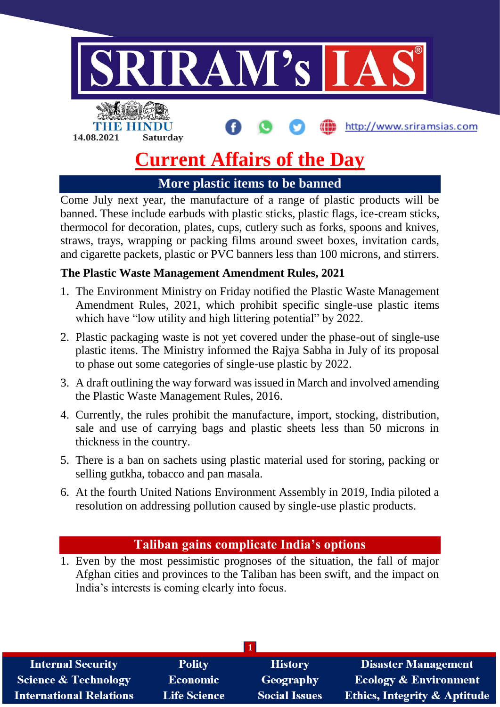

# **Current Affairs of the Day**

**More plastic items to be banned**

Come July next year, the manufacture of a range of plastic products will be banned. These include earbuds with plastic sticks, plastic flags, ice-cream sticks, thermocol for decoration, plates, cups, cutlery such as forks, spoons and knives, straws, trays, wrapping or packing films around sweet boxes, invitation cards, and cigarette packets, plastic or PVC banners less than 100 microns, and stirrers.

### **The Plastic Waste Management Amendment Rules, 2021**

- 1. The Environment Ministry on Friday notified the Plastic Waste Management Amendment Rules, 2021, which prohibit specific single-use plastic items which have "low utility and high littering potential" by 2022.
- 2. Plastic packaging waste is not yet covered under the phase-out of single-use plastic items. The Ministry informed the Rajya Sabha in July of its proposal to phase out some categories of single-use plastic by 2022.
- 3. A draft outlining the way forward was issued in March and involved amending the Plastic Waste Management Rules, 2016.
- 4. Currently, the rules prohibit the manufacture, import, stocking, distribution, sale and use of carrying bags and plastic sheets less than 50 microns in thickness in the country.
- 5. There is a ban on sachets using plastic material used for storing, packing or selling gutkha, tobacco and pan masala.
- 6. At the fourth United Nations Environment Assembly in 2019, India piloted a resolution on addressing pollution caused by single-use plastic products.

# **Taliban gains complicate India's options**

1. Even by the most pessimistic prognoses of the situation, the fall of major Afghan cities and provinces to the Taliban has been swift, and the impact on India's interests is coming clearly into focus.

| <b>Internal Security</b>       | <b>Polity</b>       | <b>History</b>       | Disaster Management                     |  |  |
|--------------------------------|---------------------|----------------------|-----------------------------------------|--|--|
| Science & Technology           | <b>Economic</b>     | Geography            | <b>Ecology &amp; Environment</b>        |  |  |
| <b>International Relations</b> | <b>Life Science</b> | <b>Social Issues</b> | <b>Ethics, Integrity &amp; Aptitude</b> |  |  |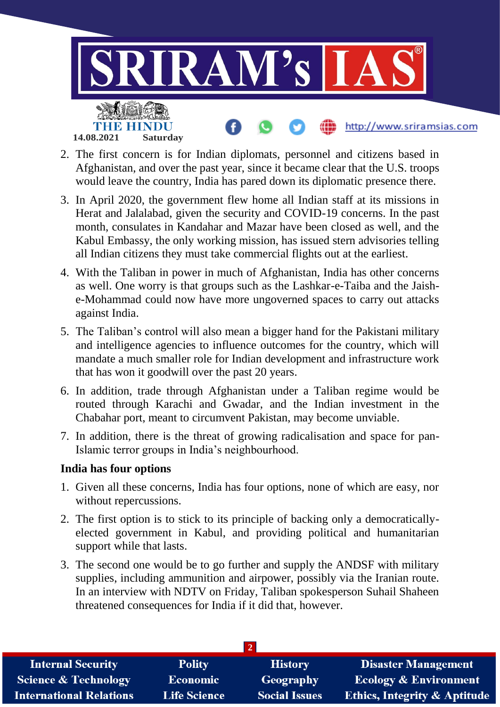

- 2. The first concern is for Indian diplomats, personnel and citizens based in Afghanistan, and over the past year, since it became clear that the U.S. troops would leave the country, India has pared down its diplomatic presence there.
- 3. In April 2020, the government flew home all Indian staff at its missions in Herat and Jalalabad, given the security and COVID-19 concerns. In the past month, consulates in Kandahar and Mazar have been closed as well, and the Kabul Embassy, the only working mission, has issued stern advisories telling all Indian citizens they must take commercial flights out at the earliest.
- 4. With the Taliban in power in much of Afghanistan, India has other concerns as well. One worry is that groups such as the Lashkar-e-Taiba and the Jaishe-Mohammad could now have more ungoverned spaces to carry out attacks against India.
- 5. The Taliban's control will also mean a bigger hand for the Pakistani military and intelligence agencies to influence outcomes for the country, which will mandate a much smaller role for Indian development and infrastructure work that has won it goodwill over the past 20 years.
- 6. In addition, trade through Afghanistan under a Taliban regime would be routed through Karachi and Gwadar, and the Indian investment in the Chabahar port, meant to circumvent Pakistan, may become unviable.
- 7. In addition, there is the threat of growing radicalisation and space for pan-Islamic terror groups in India's neighbourhood.

#### **India has four options**

- 1. Given all these concerns, India has four options, none of which are easy, nor without repercussions.
- 2. The first option is to stick to its principle of backing only a democraticallyelected government in Kabul, and providing political and humanitarian support while that lasts.
- 3. The second one would be to go further and supply the ANDSF with military supplies, including ammunition and airpower, possibly via the Iranian route. In an interview with NDTV on Friday, Taliban spokesperson Suhail Shaheen threatened consequences for India if it did that, however.

| <b>Internal Security</b>        | <b>Polity</b>       | <b>History</b>       | <b>Disaster Management</b>              |  |  |
|---------------------------------|---------------------|----------------------|-----------------------------------------|--|--|
| <b>Science &amp; Technology</b> | <b>Economic</b>     | <b>Geography</b>     | <b>Ecology &amp; Environment</b>        |  |  |
| <b>International Relations</b>  | <b>Life Science</b> | <b>Social Issues</b> | <b>Ethics, Integrity &amp; Aptitude</b> |  |  |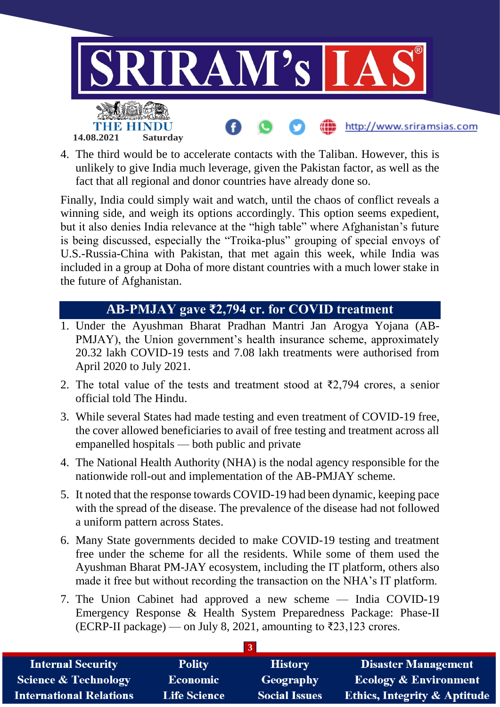

4. The third would be to accelerate contacts with the Taliban. However, this is unlikely to give India much leverage, given the Pakistan factor, as well as the fact that all regional and donor countries have already done so.

Finally, India could simply wait and watch, until the chaos of conflict reveals a winning side, and weigh its options accordingly. This option seems expedient, but it also denies India relevance at the "high table" where Afghanistan's future is being discussed, especially the "Troika-plus" grouping of special envoys of U.S.-Russia-China with Pakistan, that met again this week, while India was included in a group at Doha of more distant countries with a much lower stake in the future of Afghanistan.

# **AB-PMJAY gave ₹2,794 cr. for COVID treatment**

- 1. Under the Ayushman Bharat Pradhan Mantri Jan Arogya Yojana (AB-PMJAY), the Union government's health insurance scheme, approximately 20.32 lakh COVID-19 tests and 7.08 lakh treatments were authorised from April 2020 to July 2021.
- 2. The total value of the tests and treatment stood at  $\bar{\tau}$ 2,794 crores, a senior official told The Hindu.
- 3. While several States had made testing and even treatment of COVID-19 free, the cover allowed beneficiaries to avail of free testing and treatment across all empanelled hospitals — both public and private
- 4. The National Health Authority (NHA) is the nodal agency responsible for the nationwide roll-out and implementation of the AB-PMJAY scheme.
- 5. It noted that the response towards COVID-19 had been dynamic, keeping pace with the spread of the disease. The prevalence of the disease had not followed a uniform pattern across States.
- 6. Many State governments decided to make COVID-19 testing and treatment free under the scheme for all the residents. While some of them used the Ayushman Bharat PM-JAY ecosystem, including the IT platform, others also made it free but without recording the transaction on the NHA's IT platform.
- 7. The Union Cabinet had approved a new scheme India COVID-19 Emergency Response & Health System Preparedness Package: Phase-II (ECRP-II package) — on July 8, 2021, amounting to ₹23,123 crores.

| <b>Internal Security</b>        | <b>Polity</b>       | <b>History</b>       | <b>Disaster Management</b>              |  |  |
|---------------------------------|---------------------|----------------------|-----------------------------------------|--|--|
| <b>Science &amp; Technology</b> | Economic            | <b>Geography</b>     | <b>Ecology &amp; Environment</b>        |  |  |
| <b>International Relations</b>  | <b>Life Science</b> | <b>Social Issues</b> | <b>Ethics, Integrity &amp; Aptitude</b> |  |  |